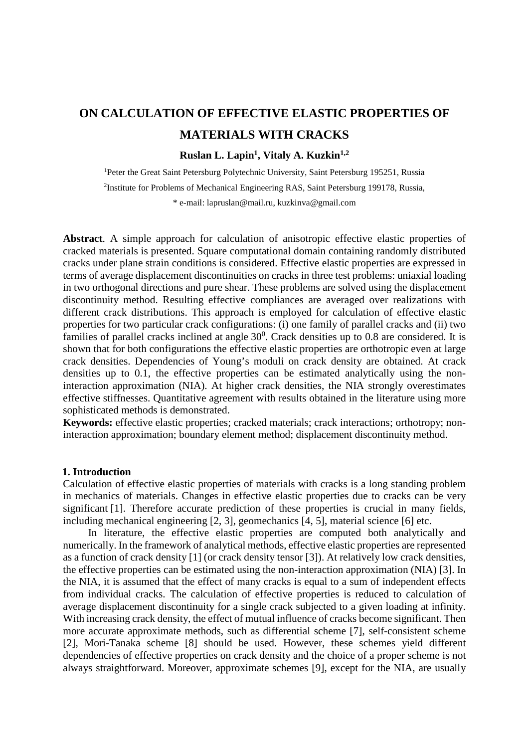# **ON CALCULATION OF EFFECTIVE ELASTIC PROPERTIES OF MATERIALS WITH CRACKS**

# **Ruslan L. Lapin1, Vitaly A. Kuzkin1,2**

<sup>1</sup>Peter the Great Saint Petersburg Polytechnic University, Saint Petersburg 195251, Russia 2 Institute for Problems of Mechanical Engineering RAS, Saint Petersburg 199178, Russia, \* e-mail: lapruslan@mail.ru, kuzkinva@gmail.com

**Abstract**. A simple approach for calculation of anisotropic effective elastic properties of cracked materials is presented. Square computational domain containing randomly distributed cracks under plane strain conditions is considered. Effective elastic properties are expressed in terms of average displacement discontinuities on cracks in three test problems: uniaxial loading in two orthogonal directions and pure shear. These problems are solved using the displacement discontinuity method. Resulting effective compliances are averaged over realizations with different crack distributions. This approach is employed for calculation of effective elastic properties for two particular crack configurations: (i) one family of parallel cracks and (ii) two families of parallel cracks inclined at angle  $30^0$ . Crack densities up to 0.8 are considered. It is shown that for both configurations the effective elastic properties are orthotropic even at large crack densities. Dependencies of Young's moduli on crack density are obtained. At crack densities up to 0.1, the effective properties can be estimated analytically using the noninteraction approximation (NIA). At higher crack densities, the NIA strongly overestimates effective stiffnesses. Quantitative agreement with results obtained in the literature using more sophisticated methods is demonstrated.

**Keywords:** effective elastic properties; cracked materials; crack interactions; orthotropy; noninteraction approximation; boundary element method; displacement discontinuity method.

# **1. Introduction**

Calculation of effective elastic properties of materials with cracks is a long standing problem in mechanics of materials. Changes in effective elastic properties due to cracks can be very significant [1]. Therefore accurate prediction of these properties is crucial in many fields, including mechanical engineering [2, 3], geomechanics [4, 5], material science [6] etc.

In literature, the effective elastic properties are computed both analytically and numerically. In the framework of analytical methods, effective elastic properties are represented as a function of crack density [1] (or crack density tensor [3]). At relatively low crack densities, the effective properties can be estimated using the non-interaction approximation (NIA) [3]. In the NIA, it is assumed that the effect of many cracks is equal to a sum of independent effects from individual cracks. The calculation of effective properties is reduced to calculation of average displacement discontinuity for a single crack subjected to a given loading at infinity. With increasing crack density, the effect of mutual influence of cracks become significant. Then more accurate approximate methods, such as differential scheme [7], self-consistent scheme [2], Mori-Tanaka scheme [8] should be used. However, these schemes yield different dependencies of effective properties on crack density and the choice of a proper scheme is not always straightforward. Moreover, approximate schemes [9], except for the NIA, are usually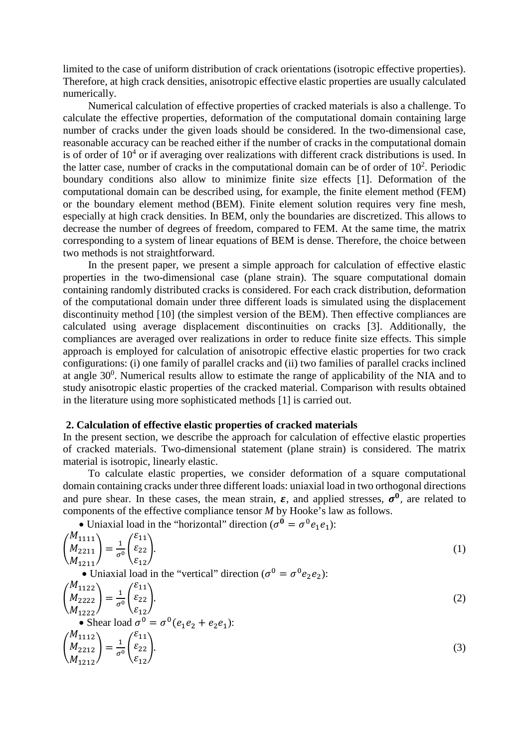limited to the case of uniform distribution of crack orientations (isotropic effective properties). Therefore, at high crack densities, anisotropic effective elastic properties are usually calculated numerically.

Numerical calculation of effective properties of cracked materials is also a challenge. To calculate the effective properties, deformation of the computational domain containing large number of cracks under the given loads should be considered. In the two-dimensional case, reasonable accuracy can be reached either if the number of cracks in the computational domain is of order of  $10<sup>4</sup>$  or if averaging over realizations with different crack distributions is used. In the latter case, number of cracks in the computational domain can be of order of  $10<sup>2</sup>$ . Periodic boundary conditions also allow to minimize finite size effects [1]. Deformation of the computational domain can be described using, for example, the finite element method (FEM) or the boundary element method (BEM). Finite element solution requires very fine mesh, especially at high crack densities. In BEM, only the boundaries are discretized. This allows to decrease the number of degrees of freedom, compared to FEM. At the same time, the matrix corresponding to a system of linear equations of BEM is dense. Therefore, the choice between two methods is not straightforward.

In the present paper, we present a simple approach for calculation of effective elastic properties in the two-dimensional case (plane strain). The square computational domain containing randomly distributed cracks is considered. For each crack distribution, deformation of the computational domain under three different loads is simulated using the displacement discontinuity method [10] (the simplest version of the BEM). Then effective compliances are calculated using average displacement discontinuities on cracks [3]. Additionally, the compliances are averaged over realizations in order to reduce finite size effects. This simple approach is employed for calculation of anisotropic effective elastic properties for two crack configurations: (i) one family of parallel cracks and (ii) two families of parallel cracks inclined at angle  $30^0$ . Numerical results allow to estimate the range of applicability of the NIA and to study anisotropic elastic properties of the cracked material. Comparison with results obtained in the literature using more sophisticated methods [1] is carried out.

# **2. Calculation of effective elastic properties of cracked materials**

In the present section, we describe the approach for calculation of effective elastic properties of cracked materials. Two-dimensional statement (plane strain) is considered. The matrix material is isotropic, linearly elastic.

To calculate elastic properties, we consider deformation of a square computational domain containing cracks under three different loads: uniaxial load in two orthogonal directions and pure shear. In these cases, the mean strain,  $\varepsilon$ , and applied stresses,  $\sigma^0$ , are related to components of the effective compliance tensor *M* by Hooke's law as follows.

• Uniaxial load in the "horizontal" direction ( $\sigma^0 = \sigma^0 e_1 e_1$ ):

$$
\begin{pmatrix} M_{1111} \\ M_{2211} \\ M_{1211} \end{pmatrix} = \frac{1}{\sigma^0} \begin{pmatrix} \varepsilon_{11} \\ \varepsilon_{22} \\ \varepsilon_{12} \end{pmatrix} .
$$
\n• Uniaxial load in the "vertical" direction ( $\sigma^0 = \sigma^0 e_2 e_2$ ):\n
$$
\tag{1}
$$

$$
\begin{pmatrix}\nM_{1122} \\
M_{2222} \\
M_{1222}\n\end{pmatrix} = \frac{1}{\sigma^0} \begin{pmatrix}\n\varepsilon_{11} \\
\varepsilon_{22} \\
\varepsilon_{12}\n\end{pmatrix}.
$$
\n
$$
\bullet \text{ Shear load } \sigma^0 = \sigma^0 (e_1 e_2 + e_2 e_1).
$$
\n
$$
\begin{pmatrix}\nM_{1112} \\
M_{2212} \\
M_{1212}\n\end{pmatrix} = \frac{1}{\sigma^0} \begin{pmatrix}\n\varepsilon_{11} \\
\varepsilon_{22} \\
\varepsilon_{12}\n\end{pmatrix}.
$$
\n(3)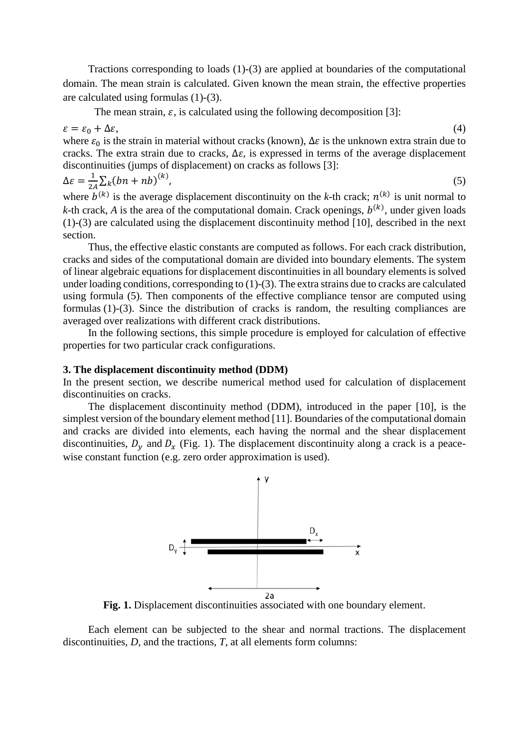Tractions corresponding to loads (1)-(3) are applied at boundaries of the computational domain. The mean strain is calculated. Given known the mean strain, the effective properties are calculated using formulas (1)-(3).

The mean strain,  $\varepsilon$ , is calculated using the following decomposition [3]:

 $\varepsilon = \varepsilon_0 + \Delta \varepsilon,$  (4)

where  $\varepsilon_0$  is the strain in material without cracks (known),  $\Delta \varepsilon$  is the unknown extra strain due to cracks. The extra strain due to cracks,  $\Delta \varepsilon$ , is expressed in terms of the average displacement discontinuities (jumps of displacement) on cracks as follows [3]:

$$
\Delta \varepsilon = \frac{1}{2A} \sum_{k} (bn + nb)^{(k)},
$$
\n(5)

where  $b^{(k)}$  is the average displacement discontinuity on the *k*-th crack;  $n^{(k)}$  is unit normal to *k*-th crack, *A* is the area of the computational domain. Crack openings,  $b^{(k)}$ , under given loads (1)-(3) are calculated using the displacement discontinuity method [10], described in the next section.

Thus, the effective elastic constants are computed as follows. For each crack distribution, cracks and sides of the computational domain are divided into boundary elements. The system of linear algebraic equations for displacement discontinuities in all boundary elements is solved under loading conditions, corresponding to (1)-(3). The extra strains due to cracks are calculated using formula (5). Then components of the effective compliance tensor are computed using formulas (1)-(3). Since the distribution of cracks is random, the resulting compliances are averaged over realizations with different crack distributions.

In the following sections, this simple procedure is employed for calculation of effective properties for two particular crack configurations.

# **3. The displacement discontinuity method (DDM)**

In the present section, we describe numerical method used for calculation of displacement discontinuities on cracks.

The displacement discontinuity method (DDM), introduced in the paper [10], is the simplest version of the boundary element method [11]. Boundaries of the computational domain and cracks are divided into elements, each having the normal and the shear displacement discontinuities,  $D_v$  and  $D_x$  [\(Fig. 1\)](#page-2-0). The displacement discontinuity along a crack is a peacewise constant function (e.g. zero order approximation is used).



**Fig. 1.** Displacement discontinuities associated with one boundary element.

<span id="page-2-0"></span>Each element can be subjected to the shear and normal tractions. The displacement discontinuities, *D*, and the tractions, *T*, at all elements form columns: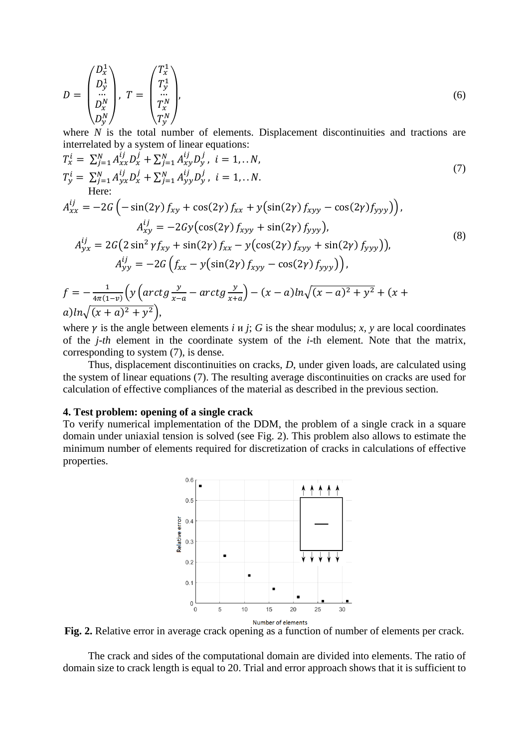$$
D = \begin{pmatrix} D_x^1 \\ D_y^1 \\ \dots \\ D_x^N \\ D_y^N \end{pmatrix}, T = \begin{pmatrix} T_x^1 \\ T_y^1 \\ \dots \\ T_x^N \\ T_y^N \end{pmatrix},
$$
 (6)

where *N* is the total number of elements. Displacement discontinuities and tractions are interrelated by a system of linear equations:

$$
T_x^i = \sum_{j=1}^N A_{xx}^{ij} D_x^j + \sum_{j=1}^N A_{xy}^{ij} D_y^j, \quad i = 1,...N,
$$
  
\n
$$
T_y^i = \sum_{j=1}^N A_{yx}^{ij} D_x^j + \sum_{j=1}^N A_{yy}^{ij} D_y^j, \quad i = 1,...N.
$$
  
\nHere:  
\n
$$
A_{xx}^{ij} = -2G \left( -\sin(2\gamma) f_{xy} + \cos(2\gamma) f_{xx} + y(\sin(2\gamma) f_{xyy} - \cos(2\gamma) f_{yyy}) \right),
$$
  
\n
$$
A_{yy}^{ij} = 2G \left( 2 \sin^2 \gamma f_{xy} + \sin(2\gamma) f_{xx} - y(\cos(2\gamma) f_{xyy} + \sin(2\gamma) f_{yyy}) \right),
$$
  
\n
$$
A_{yy}^{ij} = -2G \left( f_{xx} - y(\sin(2\gamma) f_{xyy} - \cos(2\gamma) f_{yyy}) \right),
$$
  
\n
$$
f = -\frac{1}{4\pi(1-\nu)} \left( y \left( \arctg \frac{y}{x-a} - \arctg \frac{y}{x+a} \right) - (x-a) \ln \sqrt{(x-a)^2 + y^2} + (x+a) \ln \sqrt{(x+a)^2 + y^2} \right),
$$
  
\n(8)

where  $\gamma$  is the angle between elements *i*  $\mu$  *j*; *G* is the shear modulus; *x*,  $\gamma$  are local coordinates of the *j-th* element in the coordinate system of the *i-*th element. Note that the matrix, corresponding to system (7), is dense.

Thus, displacement discontinuities on cracks, *D*, under given loads, are calculated using the system of linear equations (7). The resulting average discontinuities on cracks are used for calculation of effective compliances of the material as described in the previous section.

### **4. Test problem: opening of a single crack**

To verify numerical implementation of the DDM, the problem of a single crack in a square domain under uniaxial tension is solved (see Fig. 2). This problem also allows to estimate the minimum number of elements required for discretization of cracks in calculations of effective properties.



<span id="page-3-0"></span>**Fig. 2.** Relative error in average crack opening as a function of number of elements per crack.

The crack and sides of the computational domain are divided into elements. The ratio of domain size to crack length is equal to 20. Trial and error approach shows that it is sufficient to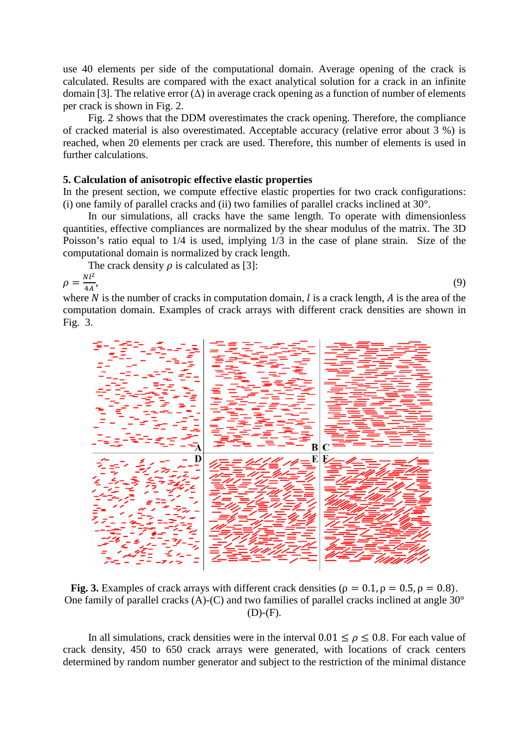use 40 elements per side of the computational domain. Average opening of the crack is calculated. Results are compared with the exact analytical solution for a crack in an infinite domain [3]. The relative error  $(\Delta)$  in average crack opening as a function of number of elements per crack is shown in [Fig. 2.](#page-3-0)

[Fig. 2](#page-3-0) shows that the DDM overestimates the crack opening. Therefore, the compliance of cracked material is also overestimated. Acceptable accuracy (relative error about 3 %) is reached, when 20 elements per crack are used. Therefore, this number of elements is used in further calculations.

### **5. Calculation of anisotropic effective elastic properties**

In the present section, we compute effective elastic properties for two crack configurations: (i) one family of parallel cracks and (ii) two families of parallel cracks inclined at 30°.

In our simulations, all cracks have the same length. To operate with dimensionless quantities*,* effective compliances are normalized by the shear modulus of the matrix. The 3D Poisson's ratio equal to 1/4 is used, implying 1/3 in the case of plane strain. Size of the computational domain is normalized by crack length.

The crack density  $\rho$  is calculated as [3]:

$$
\rho = \frac{Nl^2}{4A},\tag{9}
$$

where  $N$  is the number of cracks in computation domain,  $l$  is a crack length,  $A$  is the area of the computation domain. Examples of crack arrays with different crack densities are shown in [Fig. 3.](#page-4-0)



<span id="page-4-0"></span>**Fig. 3.** Examples of crack arrays with different crack densities ( $\rho = 0.1$ ,  $\rho = 0.5$ ,  $\rho = 0.8$ ). One family of parallel cracks (A)-(C) and two families of parallel cracks inclined at angle 30°  $(D)-(F).$ 

In all simulations, crack densities were in the interval  $0.01 \le \rho \le 0.8$ . For each value of crack density, 450 to 650 crack arrays were generated, with locations of crack centers determined by random number generator and subject to the restriction of the minimal distance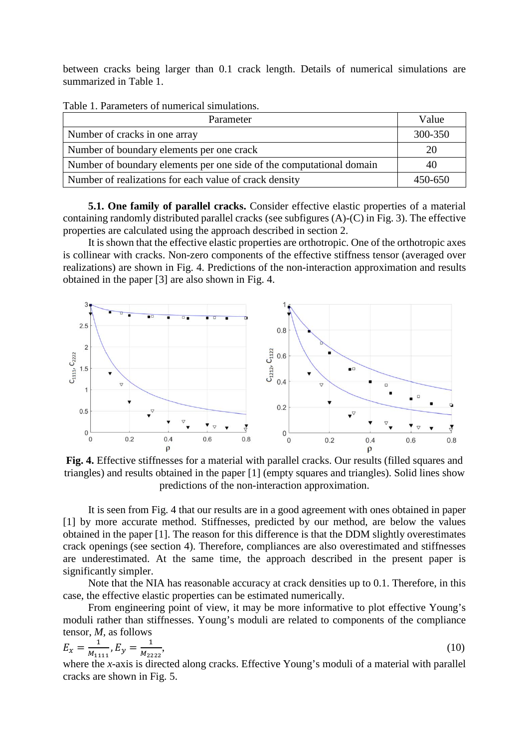between cracks being larger than 0.1 crack length. Details of numerical simulations are summarized in Table 1.

| Parameter                                                            | Value   |
|----------------------------------------------------------------------|---------|
| Number of cracks in one array                                        | 300-350 |
| Number of boundary elements per one crack                            | 20      |
| Number of boundary elements per one side of the computational domain | 40      |
| Number of realizations for each value of crack density               | 450-650 |

Table 1. Parameters of numerical simulations.

**5.1. One family of parallel cracks.** Consider effective elastic properties of a material containing randomly distributed parallel cracks (see subfigures (A)-(C) in [Fig. 3\)](#page-4-0). The effective properties are calculated using the approach described in section 2.

It is shown that the effective elastic properties are orthotropic. One of the orthotropic axes is collinear with cracks. Non-zero components of the effective stiffness tensor (averaged over realizations) are shown in [Fig. 4.](#page-5-0) Predictions of the non-interaction approximation and results obtained in the paper [3] are also shown in [Fig. 4.](#page-5-0)



<span id="page-5-0"></span>**Fig. 4.** Effective stiffnesses for a material with parallel cracks. Our results (filled squares and triangles) and results obtained in the paper [1] (empty squares and triangles). Solid lines show predictions of the non-interaction approximation.

It is seen from [Fig. 4](#page-5-0) that our results are in a good agreement with ones obtained in paper [1] by more accurate method. Stiffnesses, predicted by our method, are below the values obtained in the paper [1]. The reason for this difference is that the DDM slightly overestimates crack openings (see section 4). Therefore, compliances are also overestimated and stiffnesses are underestimated. At the same time, the approach described in the present paper is significantly simpler.

Note that the NIA has reasonable accuracy at crack densities up to 0.1. Therefore, in this case, the effective elastic properties can be estimated numerically.

From engineering point of view, it may be more informative to plot effective Young's moduli rather than stiffnesses. Young's moduli are related to components of the compliance tensor, *M,* as follows

$$
E_x = \frac{1}{M_{1111}}, E_y = \frac{1}{M_{2222}},\tag{10}
$$

where the *x*-axis is directed along cracks. Effective Young's moduli of a material with parallel cracks are shown in [Fig. 5.](#page-6-0)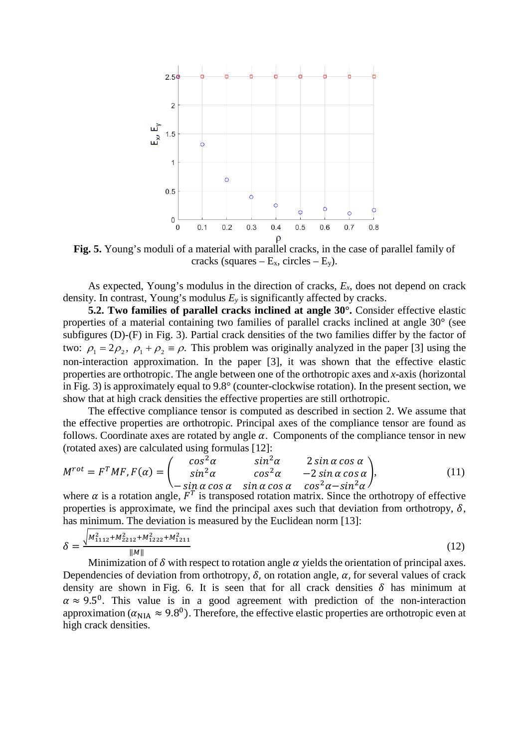

<span id="page-6-0"></span>**Fig. 5.** Young's moduli of a material with parallel cracks, in the case of parallel family of cracks (squares –  $E_x$ , circles –  $E_y$ ).

As expected, Young's modulus in the direction of cracks, *Ex*, does not depend on crack density. In contrast, Young's modulus  $E_y$  is significantly affected by cracks.

**5.2. Two families of parallel cracks inclined at angle 30°.** Consider effective elastic properties of a material containing two families of parallel cracks inclined at angle 30° (see subfigures (D)-(F) in [Fig. 3\)](#page-4-0). Partial crack densities of the two families differ by the factor of two:  $\rho_1 = 2\rho_2$ ,  $\rho_1 + \rho_2 = \rho$ . This problem was originally analyzed in the paper [3] using the non-interaction approximation. In the paper [3], it was shown that the effective elastic properties are orthotropic. The angle between one of the orthotropic axes and *x*-axis (horizontal in [Fig. 3\)](#page-4-0) is approximately equal to 9.8° (counter-clockwise rotation). In the present section, we show that at high crack densities the effective properties are still orthotropic.

The effective compliance tensor is computed as described in section 2. We assume that the effective properties are orthotropic. Principal axes of the compliance tensor are found as follows. Coordinate axes are rotated by angle  $\alpha$ . Components of the compliance tensor in new (rotated axes) are calculated using formulas [12]:

$$
M^{rot} = F^{T}MF, F(\alpha) = \begin{pmatrix} \cos^{2}\alpha & \sin^{2}\alpha & 2\sin\alpha\cos\alpha \\ \sin^{2}\alpha & \cos^{2}\alpha & -2\sin\alpha\cos\alpha \\ -\sin\alpha\cos\alpha & \sin\alpha\cos\alpha & \cos^{2}\alpha - \sin^{2}\alpha \end{pmatrix},
$$
(11)

where  $\alpha$  is a rotation angle,  $F^T$  is transposed rotation matrix. Since the orthotropy of effective properties is approximate, we find the principal axes such that deviation from orthotropy,  $\delta$ , has minimum. The deviation is measured by the Euclidean norm [13]:

$$
\delta = \frac{\sqrt{M_{1112}^2 + M_{2212}^2 + M_{1222}^2 + M_{1211}^2}}{\|M\|} \tag{12}
$$

Minimization of  $\delta$  with respect to rotation angle  $\alpha$  yields the orientation of principal axes. Dependencies of deviation from orthotropy,  $\delta$ , on rotation angle,  $\alpha$ , for several values of crack density are shown in [Fig. 6.](#page-7-0) It is seen that for all crack densities  $\delta$  has minimum at  $\alpha \approx 9.5^{\circ}$ . This value is in a good agreement with prediction of the non-interaction approximation ( $\alpha_{NIA} \approx 9.8^{\circ}$ ). Therefore, the effective elastic properties are orthotropic even at high crack densities.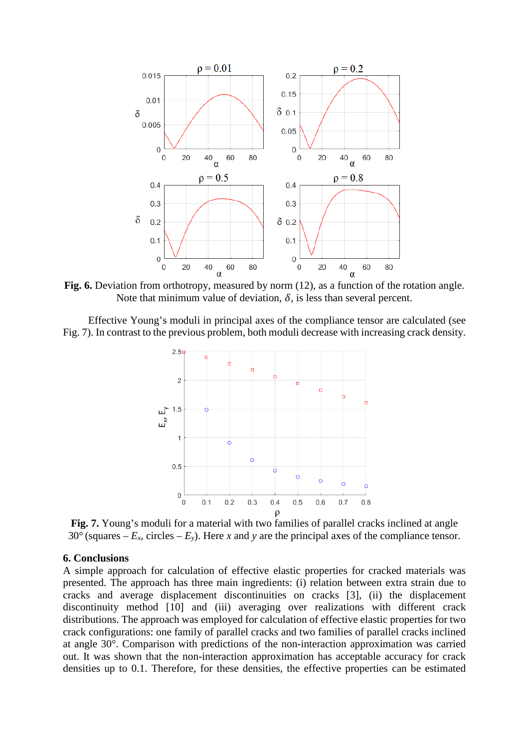

<span id="page-7-0"></span>**Fig. 6.** Deviation from orthotropy, measured by norm (12), as a function of the rotation angle. Note that minimum value of deviation,  $\delta$ , is less than several percent.

Effective Young's moduli in principal axes of the compliance tensor are calculated (see [Fig. 7\)](#page-7-1). In contrast to the previous problem, both moduli decrease with increasing crack density.



<span id="page-7-1"></span>**Fig. 7.** Young's moduli for a material with two families of parallel cracks inclined at angle 30° (squares  $-E_x$ , circles  $-E_y$ ). Here *x* and *y* are the principal axes of the compliance tensor.

### **6. Conclusions**

A simple approach for calculation of effective elastic properties for cracked materials was presented. The approach has three main ingredients: (i) relation between extra strain due to cracks and average displacement discontinuities on cracks [3], (ii) the displacement discontinuity method [10] and (iii) averaging over realizations with different crack distributions. The approach was employed for calculation of effective elastic properties for two crack configurations: one family of parallel cracks and two families of parallel cracks inclined at angle 30°. Comparison with predictions of the non-interaction approximation was carried out. It was shown that the non-interaction approximation has acceptable accuracy for crack densities up to 0.1. Therefore, for these densities, the effective properties can be estimated